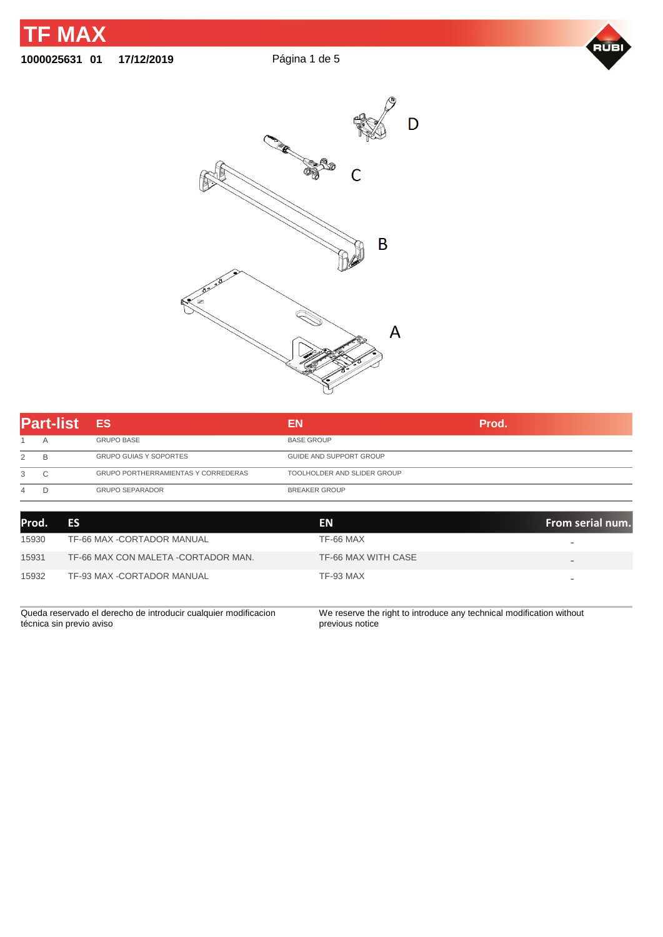

## **1000025631 01 17/12/2019** Página 1 de 5





| Α<br>B<br>2 |                                            |                             |  |
|-------------|--------------------------------------------|-----------------------------|--|
|             | <b>GRUPO BASE</b>                          | <b>BASE GROUP</b>           |  |
|             | <b>GRUPO GUIAS Y SOPORTES</b>              | GUIDE AND SUPPORT GROUP     |  |
| C<br>3      | <b>GRUPO PORTHERRAMIENTAS Y CORREDERAS</b> | TOOLHOLDER AND SLIDER GROUP |  |
| D<br>4      | <b>GRUPO SEPARADOR</b>                     | <b>BREAKER GROUP</b>        |  |

| lProd. | <b>ES</b>                                                       | EN.                                                                  | From serial num.         |
|--------|-----------------------------------------------------------------|----------------------------------------------------------------------|--------------------------|
| 15930  | TF-66 MAX -CORTADOR MANUAL                                      | TF-66 MAX                                                            |                          |
| 15931  | TF-66 MAX CON MALETA -CORTADOR MAN.                             | TF-66 MAX WITH CASE                                                  | $\qquad \qquad$          |
| 15932  | TF-93 MAX -CORTADOR MANUAL                                      | TF-93 MAX                                                            | $\overline{\phantom{0}}$ |
|        | Queda reservado el derecho de introducir cualquier modificacion | We reserve the right to introduce any technical modification without |                          |

técnica sin previo aviso

We reserve the right to introduce any technical modification without previous notice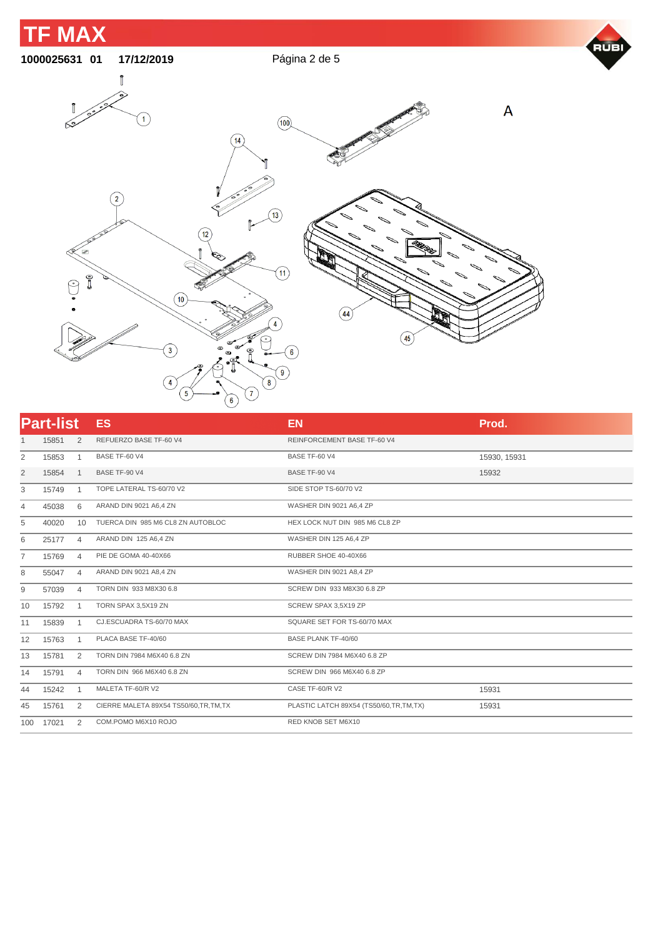

| <b>Part-list</b> |       |                | <b>ES</b>                               | <b>EN</b>                              | Prod.        |
|------------------|-------|----------------|-----------------------------------------|----------------------------------------|--------------|
| 1                | 15851 | 2              | REFUERZO BASE TF-60 V4                  | <b>REINFORCEMENT BASE TF-60 V4</b>     |              |
| 2                | 15853 | $\mathbf{1}$   | BASE TF-60 V4                           | BASE TF-60 V4                          | 15930, 15931 |
| $\overline{2}$   | 15854 | $\mathbf{1}$   | BASE TF-90 V4                           | BASE TF-90 V4                          | 15932        |
| 3                | 15749 | $\mathbf{1}$   | TOPE LATERAL TS-60/70 V2                | SIDE STOP TS-60/70 V2                  |              |
| $\overline{4}$   | 45038 | 6              | ARAND DIN 9021 A6,4 ZN                  | WASHER DIN 9021 A6,4 ZP                |              |
| 5                | 40020 | 10             | TUERCA DIN 985 M6 CL8 ZN AUTOBLOC       | HEX LOCK NUT DIN 985 M6 CL8 ZP         |              |
| 6                | 25177 | $\overline{4}$ | ARAND DIN 125 A6,4 ZN                   | WASHER DIN 125 A6,4 ZP                 |              |
| 7                | 15769 | $\overline{4}$ | PIE DE GOMA 40-40X66                    | RUBBER SHOE 40-40X66                   |              |
| 8                | 55047 | $\overline{4}$ | ARAND DIN 9021 A8,4 ZN                  | WASHER DIN 9021 A8,4 ZP                |              |
| 9                | 57039 | $\overline{4}$ | TORN DIN 933 M8X30 6.8                  | SCREW DIN 933 M8X30 6.8 ZP             |              |
| 10               | 15792 | $\mathbf{1}$   | TORN SPAX 3,5X19 ZN                     | SCREW SPAX 3,5X19 ZP                   |              |
| 11               | 15839 | 1              | CJ.ESCUADRA TS-60/70 MAX                | SQUARE SET FOR TS-60/70 MAX            |              |
| 12               | 15763 | $\mathbf{1}$   | PLACA BASE TF-40/60                     | <b>BASE PLANK TF-40/60</b>             |              |
| 13               | 15781 | 2              | TORN DIN 7984 M6X40 6.8 ZN              | SCREW DIN 7984 M6X40 6.8 ZP            |              |
| 14               | 15791 | $\overline{4}$ | TORN DIN 966 M6X40 6.8 ZN               | SCREW DIN 966 M6X40 6.8 ZP             |              |
| 44               | 15242 | $\overline{1}$ | MALETA TF-60/R V2                       | CASE TF-60/R V2                        | 15931        |
| 45               | 15761 | 2              | CIERRE MALETA 89X54 TS50/60, TR, TM, TX | PLASTIC LATCH 89X54 (TS50/60,TR,TM,TX) | 15931        |
| 100              | 17021 | 2              | COM.POMO M6X10 ROJO                     | RED KNOB SET M6X10                     |              |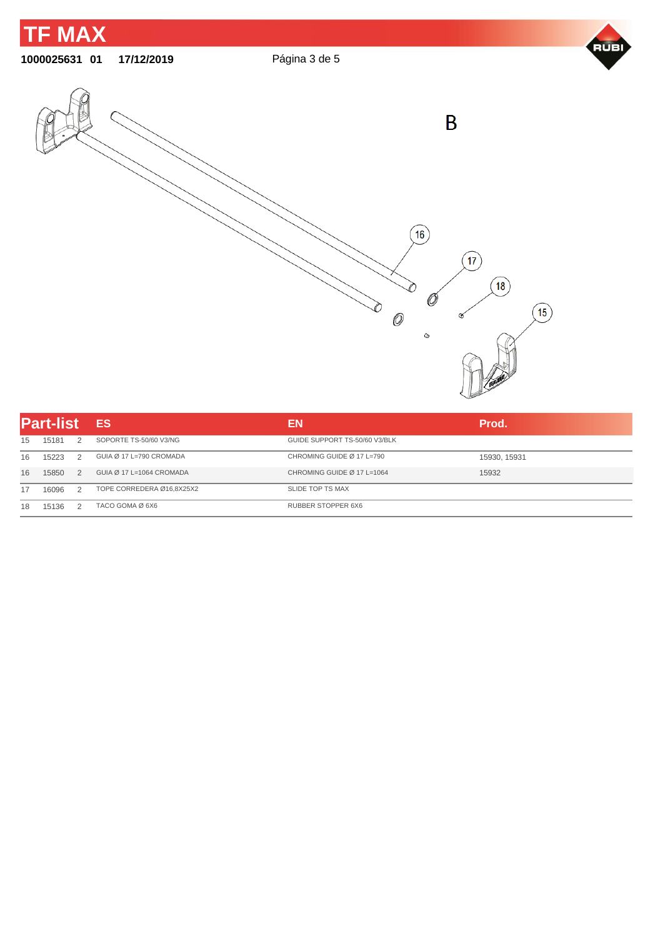

| <b>Part-list</b> |       |               | <b>ES</b>                 | EN                            | Prod.        |  |
|------------------|-------|---------------|---------------------------|-------------------------------|--------------|--|
| 15               | 15181 | $\mathcal{L}$ | SOPORTE TS-50/60 V3/NG    | GUIDE SUPPORT TS-50/60 V3/BLK |              |  |
| 16               | 15223 | $\mathcal{L}$ | GUIA Ø 17 L=790 CROMADA   | CHROMING GUIDE Ø 17 L=790     | 15930, 15931 |  |
| 16               | 15850 | $\mathcal{L}$ | GUIA Ø 17 L=1064 CROMADA  | CHROMING GUIDE Ø 17 L=1064    | 15932        |  |
|                  | 16096 | $\mathcal{L}$ | TOPE CORREDERA Ø16.8X25X2 | SLIDE TOP TS MAX              |              |  |
| 18               | 15136 | $\mathcal{P}$ | TACO GOMA Ø 6X6           | RUBBER STOPPER 6X6            |              |  |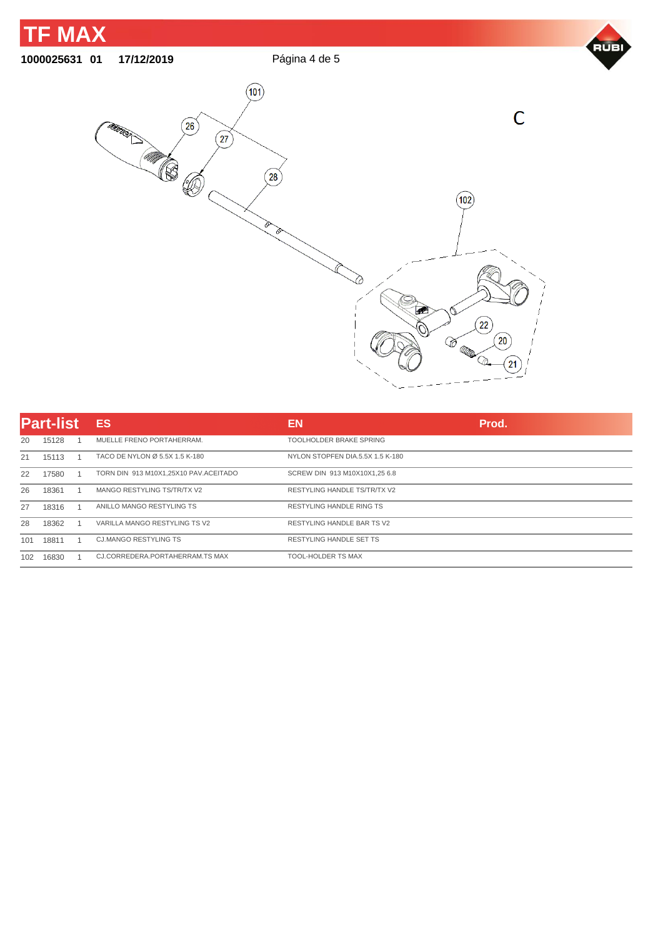

| <b>Part-list</b> |       | <b>ES</b>                             | EN                                  | Prod. |
|------------------|-------|---------------------------------------|-------------------------------------|-------|
| 20               | 15128 | MUELLE FRENO PORTAHERRAM.             | TOOLHOLDER BRAKE SPRING             |       |
| 21               | 15113 | TACO DE NYLON Ø 5.5X 1.5 K-180        | NYLON STOPFEN DIA.5.5X 1.5 K-180    |       |
| 22               | 17580 | TORN DIN 913 M10X1,25X10 PAV.ACEITADO | SCREW DIN 913 M10X10X1,25 6.8       |       |
| 26               | 18361 | MANGO RESTYLING TS/TR/TX V2           | <b>RESTYLING HANDLE TS/TR/TX V2</b> |       |
| 27               | 18316 | ANILLO MANGO RESTYLING TS             | <b>RESTYLING HANDLE RING TS</b>     |       |
| 28               | 18362 | VARILLA MANGO RESTYLING TS V2         | <b>RESTYLING HANDLE BAR TS V2</b>   |       |
| 101              | 18811 | <b>CJ.MANGO RESTYLING TS</b>          | <b>RESTYLING HANDLE SET TS</b>      |       |
| 102              | 16830 | CJ.CORREDERA.PORTAHERRAM.TS MAX       | <b>TOOL-HOLDER TS MAX</b>           |       |